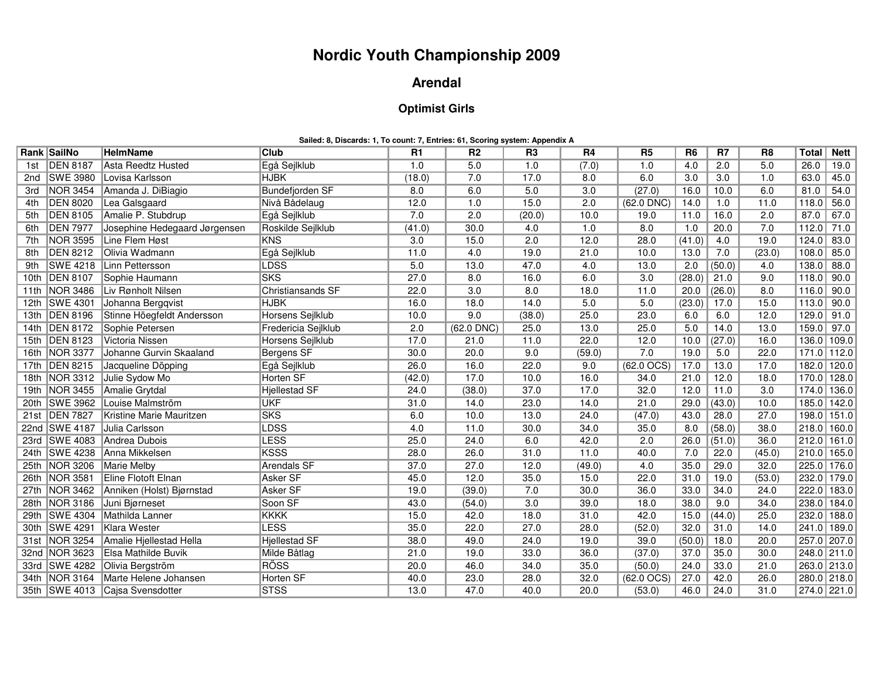## **Nordic Youth Championship 2009**

## **Arendal**

## **Optimist Girls**

**Sailed: 8, Discards: 1, To count: 7, Entries: 61, Scoring system: Appendix A**

|      | Rank SailNo     | <b>HelmName</b>                         | Club                   | <b>R1</b> | R <sub>2</sub> | R <sub>3</sub>   | <b>R4</b> | R <sub>5</sub> | R <sub>6</sub> | R7     | R <sub>8</sub>   | Total        | <b>Nett</b>     |
|------|-----------------|-----------------------------------------|------------------------|-----------|----------------|------------------|-----------|----------------|----------------|--------|------------------|--------------|-----------------|
| 1st  | <b>DEN 8187</b> | Asta Reedtz Husted                      | Egå Sejlklub           | 1.0       | 5.0            | 1.0              | (7.0)     | 1.0            | 4.0            | 2.0    | 5.0              | 26.0         | 19.0            |
| 2nd  | <b>SWE 3980</b> | Lovisa Karlsson                         | <b>HJBK</b>            | (18.0)    | 7.0            | 17.0             | 8.0       | 6.0            | 3.0            | 3.0    | 1.0              | 63.0         | 45.0            |
| 3rd  | NOR 3454        | Amanda J. DiBiagio                      | <b>Bundefjorden SF</b> | 8.0       | 6.0            | 5.0              | 3.0       | (27.0)         | 16.0           | 10.0   | 6.0              | 81.0         | 54.0            |
| 4th  | <b>DEN 8020</b> | Lea Galsgaard                           | Nivå Bådelaug          | 12.0      | 1.0            | 15.0             | 2.0       | $(62.0$ DNC)   | 14.0           | 1.0    | 11.0             | 118.0        | 56.0            |
| 5th  | <b>DEN 8105</b> | Amalie P. Stubdrup                      | Egå Sejlklub           | 7.0       | 2.0            | (20.0)           | 10.0      | 19.0           | 11.0           | 16.0   | 2.0              | 87.0         | 67.0            |
| 6th  | <b>DEN 7977</b> | Josephine Hedegaard Jørgensen           | Roskilde Sejlklub      | (41.0)    | 30.0           | 4.0              | 1.0       | 8.0            | 1.0            | 20.0   | 7.0              | 112.0        | 71.0            |
| 7th  | <b>NOR 3595</b> | Line Flem Høst                          | <b>KNS</b>             | 3.0       | 15.0           | 2.0              | 12.0      | 28.0           | (41.0)         | 4.0    | 19.0             | 124.0        | 83.0            |
| 8th  | <b>DEN 8212</b> | Olivia Wadmann                          | Egå Sejlklub           | 11.0      | 4.0            | 19.0             | 21.0      | 10.0           | 13.0           | 7.0    | (23.0)           | 108.0        | 85.0            |
| 9th  | <b>SWE 4218</b> | Linn Pettersson                         | LDSS <sup></sup>       | 5.0       | 13.0           | 47.0             | 4.0       | 13.0           | 2.0            | (50.0) | 4.0              | 138.0        | 88.0            |
| 10th | <b>DEN 8107</b> | Sophie Haumann                          | <b>SKS</b>             | 27.0      | 8.0            | 16.0             | 6.0       | 3.0            | (28.0)         | 21.0   | 9.0              | 118.0        | 90.0            |
|      |                 | 11th NOR 3486 Liv Rønholt Nilsen        | Christiansands SF      | 22.0      | 3.0            | 8.0              | 18.0      | 11.0           | 20.0           | (26.0) | 8.0              | 116.0        | 90.0            |
|      |                 | 12th SWE 4301 Johanna Bergqvist         | <b>HJBK</b>            | 16.0      | 18.0           | 14.0             | 5.0       | 5.0            | (23.0)         | 17.0   | 15.0             | 113.0        | 90.0            |
|      | 13th DEN 8196   | Stinne Höegfeldt Andersson              | Horsens Sejlklub       | 10.0      | 9.0            | (38.0)           | 25.0      | 23.0           | 6.0            | 6.0    | 12.0             | $129.0$ 91.0 |                 |
|      |                 | 14th   DEN 8172   Sophie Petersen       | Fredericia Sejlklub    | 2.0       | $(62.0$ DNC)   | 25.0             | 13.0      | 25.0           | 5.0            | 14.0   | 13.0             | 159.0 97.0   |                 |
|      | 15th DEN 8123   | Victoria Nissen                         | Horsens Sejlklub       | 17.0      | 21.0           | 11.0             | 22.0      | 12.0           | 10.0           | (27.0) | 16.0             |              | 136.0 109.0     |
|      | 16th NOR 3377   | Johanne Gurvin Skaaland                 | Bergens SF             | 30.0      | 20.0           | 9.0              | (59.0)    | 7.0            | 19.0           | 5.0    | 22.0             |              | 171.0 112.0     |
|      | 17th   DEN 8215 | Jacqueline Döpping                      | Egå Sejlklub           | 26.0      | 16.0           | 22.0             | 9.0       | $(62.0$ OCS)   | 17.0           | 13.0   | 17.0             |              | 182.0 120.0     |
|      |                 | 18th NOR 3312 Julie Sydow Mo            | <b>Horten SF</b>       | (42.0)    | 17.0           | 10.0             | 16.0      | 34.0           | 21.0           | 12.0   | 18.0             |              | 170.0 128.0     |
|      | 19th NOR 3455   | Amalie Grytdal                          | Hjellestad SF          | 24.0      | (38.0)         | 37.0             | 17.0      | 32.0           | 12.0           | 11.0   | $\overline{3.0}$ |              | 174.0 136.0     |
|      | 20th SWE 3962   | Louise Malmström                        | <b>UKF</b>             | 31.0      | 14.0           | 23.0             | 14.0      | 21.0           | 29.0           | (43.0) | 10.0             |              | 185.0 142.0     |
| 21st | <b>DEN 7827</b> | Kristine Marie Mauritzen                | <b>SKS</b>             | 6.0       | 10.0           | 13.0             | 24.0      | (47.0)         | 43.0           | 28.0   | 27.0             |              | 198.0 151.0     |
|      |                 | 22nd SWE 4187 Julia Carlsson            | LDSS <sup></sup>       | 4.0       | 11.0           | 30.0             | 34.0      | 35.0           | 8.0            | (58.0) | 38.0             |              | $218.0$   160.0 |
|      |                 | 23rd SWE 4083 Andrea Dubois             | <b>LESS</b>            | 25.0      | 24.0           | 6.0              | 42.0      | 2.0            | 26.0           | (51.0) | 36.0             |              | $212.0$ 161.0   |
|      |                 | 24th SWE 4238 Anna Mikkelsen            | <b>KSSS</b>            | 28.0      | 26.0           | 31.0             | 11.0      | 40.0           | 7.0            | 22.0   | (45.0)           |              | 210.0 165.0     |
|      |                 | 25th NOR 3206 Marie Melby               | <b>Arendals SF</b>     | 37.0      | 27.0           | 12.0             | (49.0)    | 4.0            | 35.0           | 29.0   | 32.0             |              | 225.0 176.0     |
|      | 26th NOR 3581   | Eline Flotoft Elnan                     | <b>Asker SF</b>        | 45.0      | 12.0           | 35.0             | 15.0      | 22.0           | 31.0           | 19.0   | (53.0)           |              | 232.0 179.0     |
|      |                 | 27th NOR 3462 Anniken (Holst) Bjørnstad | Asker SF               | 19.0      | (39.0)         | 7.0              | 30.0      | 36.0           | 33.0           | 34.0   | 24.0             |              | 222.0 183.0     |
|      | 28th NOR 3186   | Juni Bjørneset                          | Soon SF                | 43.0      | (54.0)         | $\overline{3.0}$ | 39.0      | 18.0           | 38.0           | 9.0    | 34.0             |              | 238.0 184.0     |
|      |                 | 29th SWE 4304 Mathilda Lanner           | <b>KKKK</b>            | 15.0      | 42.0           | 18.0             | 31.0      | 42.0           | 15.0           | (44.0) | 25.0             |              | 232.0 188.0     |
|      |                 | 30th SWE 4291 Klara Wester              | <b>LESS</b>            | 35.0      | 22.0           | 27.0             | 28.0      | (52.0)         | 32.0           | 31.0   | 14.0             |              | 241.0 189.0     |
|      |                 | 31st NOR 3254 Amalie Hjellestad Hella   | <b>Hiellestad SF</b>   | 38.0      | 49.0           | 24.0             | 19.0      | 39.0           | (50.0)         | 18.0   | 20.0             |              | 257.0 207.0     |
|      | 32nd NOR 3623   | Elsa Mathilde Buvik                     | Milde Båtlag           | 21.0      | 19.0           | 33.0             | 36.0      | (37.0)         | 37.0           | 35.0   | 30.0             |              | $248.0$ 211.0   |
|      |                 | 33rd SWE 4282 Olivia Bergström          | <b>RÖSS</b>            | 20.0      | 46.0           | 34.0             | 35.0      | (50.0)         | 24.0           | 33.0   | 21.0             |              | 263.0 213.0     |
|      |                 | 34th NOR 3164 Marte Helene Johansen     | Horten SF              | 40.0      | 23.0           | 28.0             | 32.0      | (62.0 OCS)     | 27.0           | 42.0   | 26.0             |              | 280.0 218.0     |
|      |                 | 35th SWE 4013 Cajsa Svensdotter         | <b>STSS</b>            | 13.0      | 47.0           | 40.0             | 20.0      | (53.0)         | 46.0           | 24.0   | 31.0             |              | $274.0$ 221.0   |